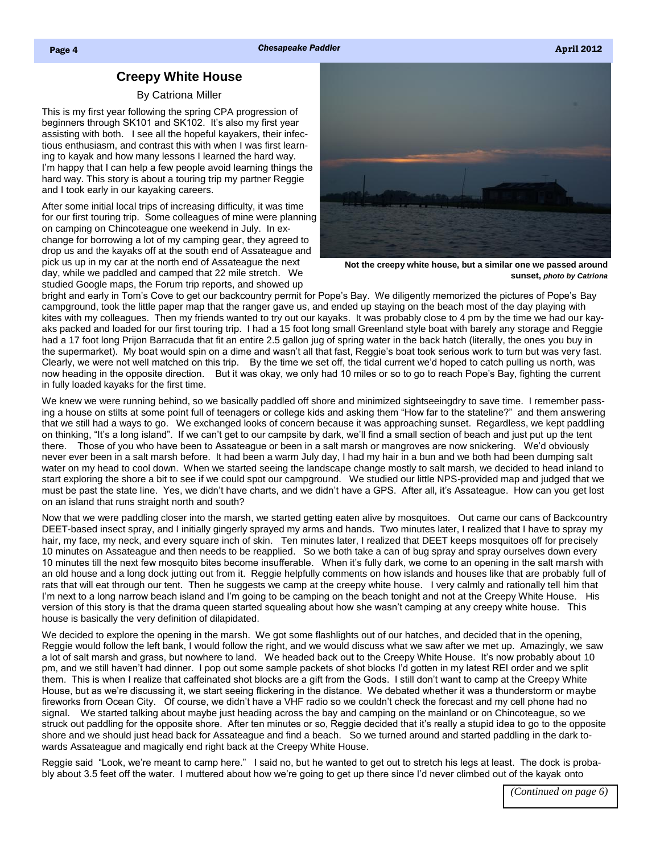## **Creepy White House**

## By Catriona Miller

<span id="page-0-0"></span>This is my first year following the spring CPA progression of beginners through SK101 and SK102. It's also my first year assisting with both. I see all the hopeful kayakers, their infectious enthusiasm, and contrast this with when I was first learning to kayak and how many lessons I learned the hard way. I'm happy that I can help a few people avoid learning things the hard way. This story is about a touring trip my partner Reggie and I took early in our kayaking careers.

After some initial local trips of increasing difficulty, it was time for our first touring trip. Some colleagues of mine were planning on camping on Chincoteague one weekend in July. In exchange for borrowing a lot of my camping gear, they agreed to drop us and the kayaks off at the south end of Assateague and pick us up in my car at the north end of Assateague the next day, while we paddled and camped that 22 mile stretch. We studied Google maps, the Forum trip reports, and showed up



**Not the creepy white house, but a similar one we passed around sunset,** *photo by Catriona*

bright and early in Tom's Cove to get our backcountry permit for Pope's Bay. We diligently memorized the pictures of Pope's Bay campground, took the little paper map that the ranger gave us, and ended up staying on the beach most of the day playing with kites with my colleagues. Then my friends wanted to try out our kayaks. It was probably close to 4 pm by the time we had our kayaks packed and loaded for our first touring trip. I had a 15 foot long small Greenland style boat with barely any storage and Reggie had a 17 foot long Prijon Barracuda that fit an entire 2.5 gallon jug of spring water in the back hatch (literally, the ones you buy in the supermarket). My boat would spin on a dime and wasn't all that fast, Reggie's boat took serious work to turn but was very fast. Clearly, we were not well matched on this trip. By the time we set off, the tidal current we'd hoped to catch pulling us north, was now heading in the opposite direction. But it was okay, we only had 10 miles or so to go to reach Pope's Bay, fighting the current in fully loaded kayaks for the first time.

We knew we were running behind, so we basically paddled off shore and minimized sightseeingdry to save time. I remember passing a house on stilts at some point full of teenagers or college kids and asking them "How far to the stateline?" and them answering that we still had a ways to go. We exchanged looks of concern because it was approaching sunset. Regardless, we kept paddling on thinking, "It's a long island". If we can't get to our campsite by dark, we'll find a small section of beach and just put up the tent there. Those of you who have been to Assateague or been in a salt marsh or mangroves are now snickering. We'd obviously never ever been in a salt marsh before. It had been a warm July day, I had my hair in a bun and we both had been dumping salt water on my head to cool down. When we started seeing the landscape change mostly to salt marsh, we decided to head inland to start exploring the shore a bit to see if we could spot our campground. We studied our little NPS-provided map and judged that we must be past the state line. Yes, we didn't have charts, and we didn't have a GPS. After all, it's Assateague. How can you get lost on an island that runs straight north and south?

Now that we were paddling closer into the marsh, we started getting eaten alive by mosquitoes. Out came our cans of Backcountry DEET-based insect spray, and I initially gingerly sprayed my arms and hands. Two minutes later, I realized that I have to spray my hair, my face, my neck, and every square inch of skin. Ten minutes later, I realized that DEET keeps mosquitoes off for precisely 10 minutes on Assateague and then needs to be reapplied. So we both take a can of bug spray and spray ourselves down every 10 minutes till the next few mosquito bites become insufferable. When it's fully dark, we come to an opening in the salt marsh with an old house and a long dock jutting out from it. Reggie helpfully comments on how islands and houses like that are probably full of rats that will eat through our tent. Then he suggests we camp at the creepy white house. I very calmly and rationally tell him that I'm next to a long narrow beach island and I'm going to be camping on the beach tonight and not at the Creepy White House. His version of this story is that the drama queen started squealing about how she wasn't camping at any creepy white house. This house is basically the very definition of dilapidated.

We decided to explore the opening in the marsh. We got some flashlights out of our hatches, and decided that in the opening, Reggie would follow the left bank, I would follow the right, and we would discuss what we saw after we met up. Amazingly, we saw a lot of salt marsh and grass, but nowhere to land. We headed back out to the Creepy White House. It's now probably about 10 pm, and we still haven't had dinner. I pop out some sample packets of shot blocks I'd gotten in my latest REI order and we split them. This is when I realize that caffeinated shot blocks are a gift from the Gods. I still don't want to camp at the Creepy White House, but as we're discussing it, we start seeing flickering in the distance. We debated whether it was a thunderstorm or maybe fireworks from Ocean City. Of course, we didn't have a VHF radio so we couldn't check the forecast and my cell phone had no signal. We started talking about maybe just heading across the bay and camping on the mainland or on Chincoteague, so we struck out paddling for the opposite shore. After ten minutes or so, Reggie decided that it's really a stupid idea to go to the opposite shore and we should just head back for Assateague and find a beach. So we turned around and started paddling in the dark towards Assateague and magically end right back at the Creepy White House.

Reggie said "Look, we're meant to camp here." I said no, but he wanted to get out to stretch his legs at least. The dock is probably about 3.5 feet off the water. I muttered about how we're going to get up there since I'd never climbed out of the kayak onto